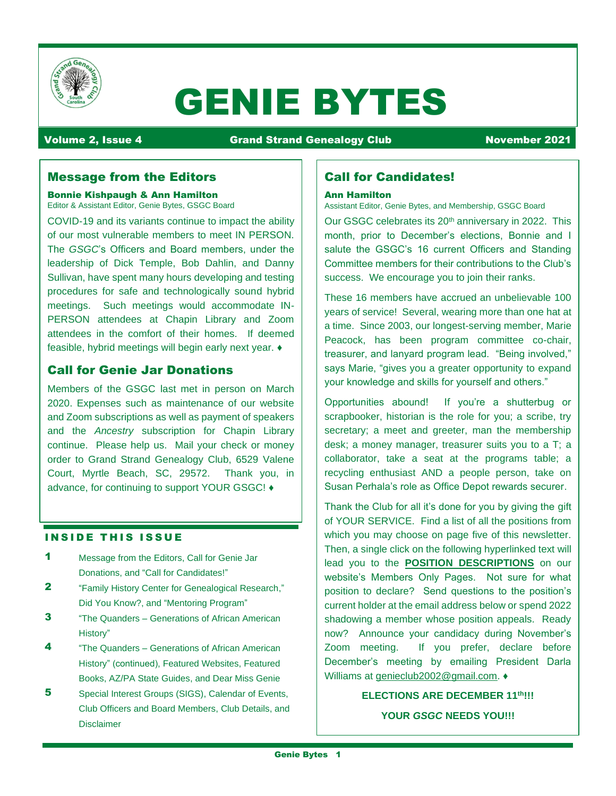

# GENIE BYTES

Volume 2, Issue 4 Grand Strand Genealogy Club November 2021

# Message from the Editors

Bonnie Kishpaugh & Ann Hamilton Editor & Assistant Editor, Genie Bytes, GSGC Board

COVID-19 and its variants continue to impact the ability of our most vulnerable members to meet IN PERSON. The *GSGC*'s Officers and Board members, under the leadership of Dick Temple, Bob Dahlin, and Danny Sullivan, have spent many hours developing and testing procedures for safe and technologically sound hybrid meetings. Such meetings would accommodate IN-PERSON attendees at Chapin Library and Zoom attendees in the comfort of their homes. If deemed feasible, hybrid meetings will begin early next year. ♦

# Call for Genie Jar Donations

Members of the GSGC last met in person on March 2020. Expenses such as maintenance of our website and Zoom subscriptions as well as payment of speakers and the *Ancestry* subscription for Chapin Library continue. Please help us. Mail your check or money order to Grand Strand Genealogy Club, 6529 Valene Court, Myrtle Beach, SC, 29572. Thank you, in advance, for continuing to support YOUR GSGC! ♦

# **INSIDE THIS ISSUE**

- 1 Message from the Editors, Call for Genie Jar Donations, and "Call for Candidates!"
- 2 "Family History Center for Genealogical Research," Did You Know?, and "Mentoring Program"
- **3** "The Quanders Generations of African American History"
- 4 **4** "The Quanders Generations of African American History" (continued), Featured Websites, Featured Books, AZ/PA State Guides, and Dear Miss Genie
- 5 Special Interest Groups (SIGS), Calendar of Events, Club Officers and Board Members, Club Details, and Disclaimer

# Call for Candidates!

#### Ann Hamilton

Assistant Editor, Genie Bytes, and Membership, GSGC Board

Our GSGC celebrates its 20<sup>th</sup> anniversary in 2022. This month, prior to December's elections, Bonnie and I salute the GSGC's 16 current Officers and Standing Committee members for their contributions to the Club's success. We encourage you to join their ranks.

These 16 members have accrued an unbelievable 100 years of service! Several, wearing more than one hat at a time. Since 2003, our longest-serving member, Marie Peacock, has been program committee co-chair, treasurer, and lanyard program lead. "Being involved," says Marie, "gives you a greater opportunity to expand your knowledge and skills for yourself and others."

Opportunities abound! If you're a shutterbug or scrapbooker, historian is the role for you; a scribe, try secretary; a meet and greeter, man the membership desk; a money manager, treasurer suits you to a T; a collaborator, take a seat at the programs table; a recycling enthusiast AND a people person, take on Susan Perhala's role as Office Depot rewards securer.

Thank the Club for all it's done for you by giving the gift of YOUR SERVICE. Find a list of all the positions from which you may choose on page five of this newsletter. Then, a single click on the following hyperlinked text will lead you to the **[POSITION DESCRIPTIONS](https://www.scgsgc.org/board-position-descriptions)** on our website's Members Only Pages. Not sure for what position to declare? Send questions to the position's current holder at the email address below or spend 2022 shadowing a member whose position appeals. Ready now? Announce your candidacy during November's Zoom meeting. If you prefer, declare before December's meeting by emailing President Darla Williams at [genieclub2002@gmail.com.](mailto:genieclub2002@gmail.com) ♦

# **ELECTIONS ARE DECEMBER 11th!!! YOUR** *GSGC* **NEEDS YOU!!!**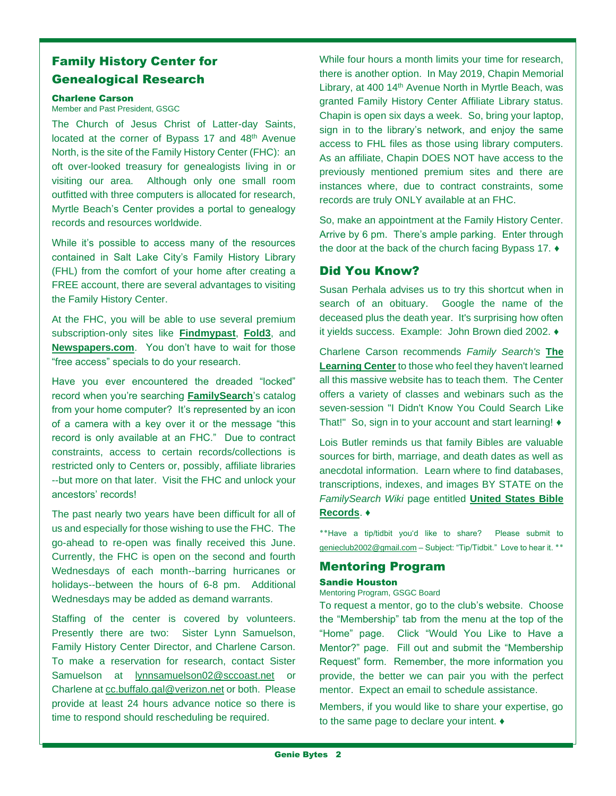# Family History Center for Genealogical Research

# Charlene Carson

Member and Past President, GSGC

The Church of Jesus Christ of Latter-day Saints, located at the corner of Bypass 17 and 48<sup>th</sup> Avenue North, is the site of the Family History Center (FHC): an oft over-looked treasury for genealogists living in or visiting our area. Although only one small room outfitted with three computers is allocated for research, Myrtle Beach's Center provides a portal to genealogy records and resources worldwide.

While it's possible to access many of the resources contained in Salt Lake City's Family History Library (FHL) from the comfort of your home after creating a FREE account, there are several advantages to visiting the Family History Center.

At the FHC, you will be able to use several premium subscription-only sites like **[Findmypast](https://www.findmypast.com/)**, **[Fold3](https://www.fold3.com/)**, and **[Newspapers.com](https://www.newspapers.com/)**. You don't have to wait for those "free access" specials to do your research.

Have you ever encountered the dreaded "locked" record when you're searching **[FamilySearch](https://www.familysearch.org/en/)**'s catalog from your home computer? It's represented by an icon of a camera with a key over it or the message "this record is only available at an FHC." Due to contract constraints, access to certain records/collections is restricted only to Centers or, possibly, affiliate libraries --but more on that later. Visit the FHC and unlock your ancestors' records!

The past nearly two years have been difficult for all of us and especially for those wishing to use the FHC. The go-ahead to re-open was finally received this June. Currently, the FHC is open on the second and fourth Wednesdays of each month--barring hurricanes or holidays--between the hours of 6-8 pm. Additional Wednesdays may be added as demand warrants.

Staffing of the center is covered by volunteers. Presently there are two: Sister Lynn Samuelson, Family History Center Director, and Charlene Carson. To make a reservation for research, contact Sister Samuelson at [lynnsamuelson02@sccoast.net](mailto:lynnsamuelson02@sccoast.net) or Charlene at [cc.buffalo.gal@verizon.net](mailto:cc.buffalo.gal@verizon.net) or both. Please provide at least 24 hours advance notice so there is time to respond should rescheduling be required.

While four hours a month limits your time for research, there is another option. In May 2019, Chapin Memorial Library, at 400 14<sup>th</sup> Avenue North in Myrtle Beach, was granted Family History Center Affiliate Library status. Chapin is open six days a week. So, bring your laptop, sign in to the library's network, and enjoy the same access to FHL files as those using library computers. As an affiliate, Chapin DOES NOT have access to the previously mentioned premium sites and there are instances where, due to contract constraints, some records are truly ONLY available at an FHC.

So, make an appointment at the Family History Center. Arrive by 6 pm. There's ample parking. Enter through the door at the back of the church facing Bypass 17. ♦

# Did You Know?

Susan Perhala advises us to try this shortcut when in search of an obituary. Google the name of the deceased plus the death year. It's surprising how often it yields success. Example: John Brown died 2002. ♦

Charlene Carson recommends *Family Search's* **[The](https://www.familysearch.org/en/family-history-library/learning)  [Learning Center](https://www.familysearch.org/en/family-history-library/learning)** to those who feel they haven't learned all this massive website has to teach them. The Center offers a variety of classes and webinars such as the seven-session "I Didn't Know You Could Search Like That!" So, sign in to your account and start learning! ♦

Lois Butler reminds us that family Bibles are valuable sources for birth, marriage, and death dates as well as anecdotal information. Learn where to find databases, transcriptions, indexes, and images BY STATE on the *FamilySearch Wiki* page entitled **[United States Bible](https://www.familysearch.org/wiki/en/index.php?title=United_States_Bible_Records&fbclid=IwAR3lv_3WRA91xetrVyjnlNyodA_O_6o4Sz_7C7lcD3TILYkqr0SGPA0GnNY)  [Records](https://www.familysearch.org/wiki/en/index.php?title=United_States_Bible_Records&fbclid=IwAR3lv_3WRA91xetrVyjnlNyodA_O_6o4Sz_7C7lcD3TILYkqr0SGPA0GnNY)**. ♦

**٭٭**Have a tip/tidbit you'd like to share? Please submit to [genieclub2002@gmail.com](mailto:genieclub2002@gmail.com) – Subject: "Tip/Tidbit." Love to hear it. \*\*

# Mentoring Program

#### Sandie Houston

Mentoring Program, GSGC Board

To request a mentor, go to the [club's website](https://www.scgsgc.org/). Choose the "Membership" tab from the menu at the top of the "Home" page. Click "Would You Like to Have a Mentor?" page. Fill out and submit the "Membership Request" form. Remember, the more information you provide, the better we can pair you with the perfect mentor. Expect an email to schedule assistance.

Members, if you would like to share your expertise, go to the same page to declare your intent. ♦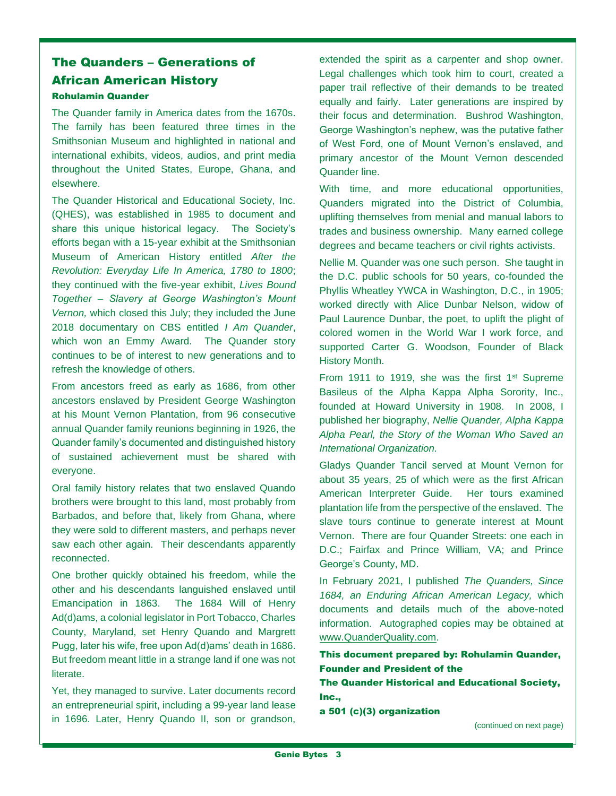# The Quanders – Generations of African American History Rohulamin Quander

The Quander family in America dates from the 1670s. The family has been featured three times in the Smithsonian Museum and highlighted in national and international exhibits, videos, audios, and print media throughout the United States, Europe, Ghana, and elsewhere.

The Quander Historical and Educational Society, Inc. (QHES), was established in 1985 to document and share this unique historical legacy. The Society's efforts began with a 15-year exhibit at the Smithsonian Museum of American History entitled *After the Revolution: Everyday Life In America, 1780 to 1800*; they continued with the five-year exhibit, *Lives Bound Together – Slavery at George Washington's Mount Vernon,* which closed this July; they included the June 2018 documentary on CBS entitled *I Am Quander*, which won an Emmy Award. The Quander story continues to be of interest to new generations and to refresh the knowledge of others.

From ancestors freed as early as 1686, from other ancestors enslaved by President George Washington at his Mount Vernon Plantation, from 96 consecutive annual Quander family reunions beginning in 1926, the Quander family's documented and distinguished history of sustained achievement must be shared with everyone.

Oral family history relates that two enslaved Quando brothers were brought to this land, most probably from Barbados, and before that, likely from Ghana, where they were sold to different masters, and perhaps never saw each other again. Their descendants apparently reconnected.

One brother quickly obtained his freedom, while the other and his descendants languished enslaved until Emancipation in 1863. The 1684 Will of Henry Ad(d)ams, a colonial legislator in Port Tobacco, Charles County, Maryland, set Henry Quando and Margrett Pugg, later his wife, free upon Ad(d)ams' death in 1686. But freedom meant little in a strange land if one was not literate.

Yet, they managed to survive. Later documents record an entrepreneurial spirit, including a 99-year land lease in 1696. Later, Henry Quando II, son or grandson, extended the spirit as a carpenter and shop owner. Legal challenges which took him to court, created a paper trail reflective of their demands to be treated equally and fairly. Later generations are inspired by their focus and determination. Bushrod Washington, George Washington's nephew, was the putative father of West Ford, one of Mount Vernon's enslaved, and primary ancestor of the Mount Vernon descended Quander line.

With time, and more educational opportunities, Quanders migrated into the District of Columbia, uplifting themselves from menial and manual labors to trades and business ownership. Many earned college degrees and became teachers or civil rights activists.

Nellie M. Quander was one such person. She taught in the D.C. public schools for 50 years, co-founded the Phyllis Wheatley YWCA in Washington, D.C., in 1905; worked directly with Alice Dunbar Nelson, widow of Paul Laurence Dunbar, the poet, to uplift the plight of colored women in the World War I work force, and supported Carter G. Woodson, Founder of Black History Month.

From 1911 to 1919, she was the first  $1<sup>st</sup>$  Supreme Basileus of the Alpha Kappa Alpha Sorority, Inc., founded at Howard University in 1908. In 2008, I published her biography, *Nellie Quander, Alpha Kappa Alpha Pearl, the Story of the Woman Who Saved an International Organization.*

Gladys Quander Tancil served at Mount Vernon for about 35 years, 25 of which were as the first African American Interpreter Guide. Her tours examined plantation life from the perspective of the enslaved. The slave tours continue to generate interest at Mount Vernon. There are four Quander Streets: one each in D.C.; Fairfax and Prince William, VA; and Prince George's County, MD.

In February 2021, I published *The Quanders, Since 1684, an Enduring African American Legacy,* which documents and details much of the above-noted information. Autographed copies may be obtained at [www.QuanderQuality.com.](http://www.quanderquality.com/)

This document prepared by: Rohulamin Quander, Founder and President of the

The Quander Historical and Educational Society, Inc.,

a 501 (c)(3) organization

(continued on next page)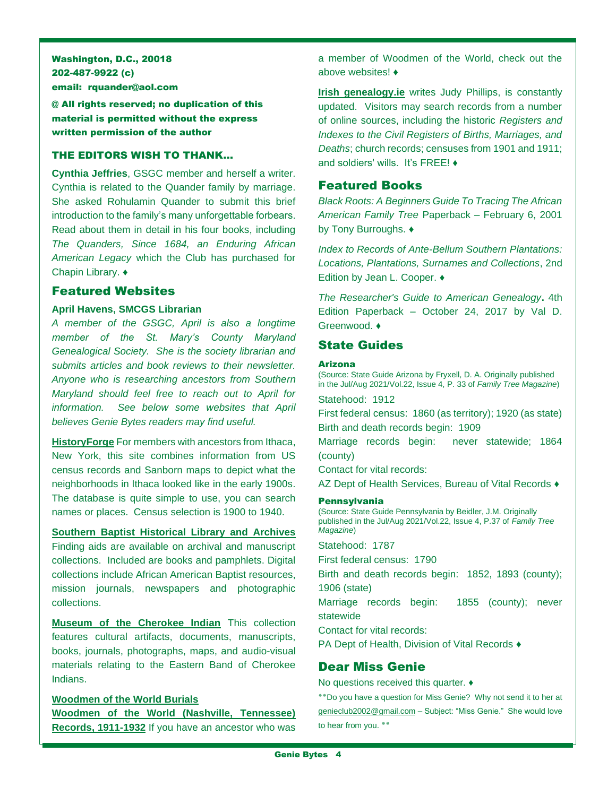Washington, D.C., 20018 202-487-9922 (c) email: rquander@aol.com

@ All rights reserved; no duplication of this material is permitted without the express written permission of the author

# THE EDITORS WISH TO THANK…

**Cynthia Jeffries**, GSGC member and herself a writer. Cynthia is related to the Quander family by marriage. She asked Rohulamin Quander to submit this brief introduction to the family's many unforgettable forbears. Read about them in detail in his four books, including *The Quanders, Since 1684, an Enduring African American Legacy* which the Club has purchased for Chapin Library. ♦

## Featured Websites

## **April Havens, SMCGS Librarian**

*A member of the GSGC, April is also a longtime member of the St. Mary's County Maryland Genealogical Society. She is the society librarian and submits articles and book reviews to their newsletter. Anyone who is researching ancestors from Southern Maryland should feel free to reach out to April for information. See below some websites that April believes Genie Bytes readers may find useful.*

**[HistoryForge](https://www.historyforge.net/)** For members with ancestors from Ithaca, New York, this site combines information from US census records and Sanborn maps to depict what the neighborhoods in Ithaca looked like in the early 1900s. The database is quite simple to use, you can search names or places. Census selection is 1900 to 1940.

**[Southern Baptist Historical Library and Archives](https://sbhla.org/#foogallery-1312/i:1311)** Finding aids are available on archival and manuscript collections. Included are books and pamphlets. Digital collections include African American Baptist resources, mission journals, newspapers and photographic collections.

**[Museum of the Cherokee Indian](https://mci.org/)** This collection features cultural artifacts, documents, manuscripts, books, journals, photographs, maps, and audio-visual materials relating to the Eastern Band of Cherokee Indians.

**[Woodmen of the World Burials](http://www.interment.net/wow/index.htm) [Woodmen of the World \(Nashville, Tennessee\)](https://sos.tn.gov/products/tsla/woodmen-world-nashville-tennessee-records-1911-1932)  [Records, 1911-1932](https://sos.tn.gov/products/tsla/woodmen-world-nashville-tennessee-records-1911-1932)** If you have an ancestor who was a member of Woodmen of the World, check out the above websites! ♦

**[Irish genealogy.ie](https://www.irishgenealogy.ie/en/)** writes Judy Phillips, is constantly updated. Visitors may search records from a number of online sources, including the historic *Registers and Indexes to the Civil Registers of Births, Marriages, and Deaths*; church records; censuses from 1901 and 1911; and soldiers' wills. It's FREE! ♦

# Featured Books

*Black Roots: A Beginners Guide To Tracing The African American Family Tree* Paperback – February 6, 2001 by Tony Burroughs. ♦

*Index to Records of Ante-Bellum Southern Plantations: Locations, Plantations, Surnames and Collections*, 2nd Edition by Jean L. Cooper. ♦

*The Researcher's Guide to American Genealogy***.** 4th Edition Paperback – October 24, 2017 by Val D. Greenwood. ♦

# State Guides

#### Arizona

(Source: State Guide Arizona by Fryxell, D. A. Originally published in the Jul/Aug 2021/Vol.22, Issue 4, P. 33 of *Family Tree Magazine*)

Statehood: 1912

First federal census: 1860 (as territory); 1920 (as state) Birth and death records begin: 1909

Marriage records begin: never statewide; 1864 (county)

Contact for vital records:

AZ Dept of Health Services, Bureau of Vital Records ♦

#### Pennsylvania

(Source: State Guide Pennsylvania by Beidler, J.M. Originally published in the Jul/Aug 2021/Vol.22, Issue 4, P.37 of *Family Tree Magazine*)

Statehood: 1787

First federal census: 1790

Birth and death records begin: 1852, 1893 (county); 1906 (state)

Marriage records begin: 1855 (county); never statewide

Contact for vital records:

PA Dept of Health, Division of Vital Records ♦

## Dear Miss Genie

No questions received this quarter. ♦

٭٭Do you have a question for Miss Genie? Why not send it to her at [genieclub2002@gmail.com](mailto:genieclub2002@gmail.com) – Subject: "Miss Genie." She would love to hear from you. **٭٭**